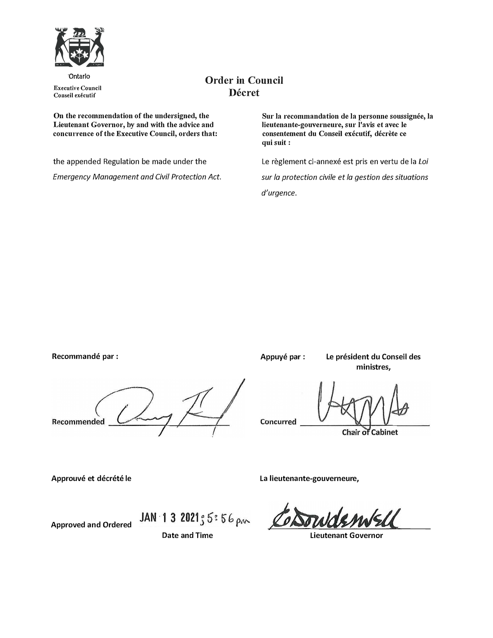

·Ontario **Executive Council Conseil executif** 

# **Order in Council Decret**

**On the recommendation of the undersigned, the Lieutenant Governor, by and with the advice and concurrence of the Executive Council, orders that:** 

the appended Regulation be made under the *Emergency Management and Civil Protection Act.*  Sur la recommandation de la personne soussignée, la **Iieutenante-gouverneure, sur l'avis et avec le consentement du Conseil executif, decrete ce qui suit:** 

Le règlement ci-annexé est pris en vertu de la Loi *sur Ja protection civile et la gestion des situations* 

*d'urgence.* 

**Recommande par :**  Recommended Concurred

**Appuye par: Le president du Conseil des ministres,** 

**Chair of Cabinet** 

Approuvé et décrété le

**Approved and Ordered** 

**La lieutenante-gouverneure,** 

**Lieutenant Governor** 

JAN 1 3 2021  $5:56 \text{ pm}$ **Date and Time**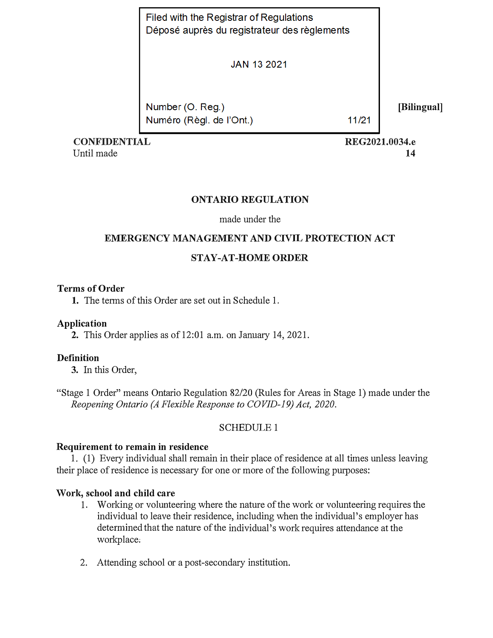| Filed with the Registrar of Regulations      |  |
|----------------------------------------------|--|
| Déposé auprès du registrateur des règlements |  |

**JAN 13 2021** 

Number (O. Reg.) Numéro (Règl. de l'Ont.)

11/21

**CONFIDENTIAL**  Until made

**REG2021.0034.e 14** 

**[Bilingual]** 

## **ONTARIO REGULATION**

## made under the

# **EMERGENCY MANAGEMENT AND CIVIL PROTECTION ACT**

## **STAY-AT-HOME ORDER**

## **Terms of Order**

**1.** The terms of this Order are set out in Schedule 1.

## **Application**

**2.** This Order applies as of 12:01 a.m. on January 14, 2021.

## **Definition**

**3.** In this Order,

"Stage 1 Order" means Ontario Regulation 82/20 (Rules for Areas in Stage 1) made under the *Reopening Ontario (A Flexible Response to COVID-19) Act, 2020.* 

## SCHEDULE 1

## **Requirement to remain in residence**

1. (1) Every individual shall remain in their place of residence at all times unless leaving their place of residence is necessary for one or more of the following purposes:

## **Work, school and child care**

- 1. Working or volunteering where the nature of the work or volunteering requires the individual to leave their residence, including when the individual's employer has determined that the nature of the individual's work requires attendance at the workplace:
- 2. Attending school or a post-secondary institution.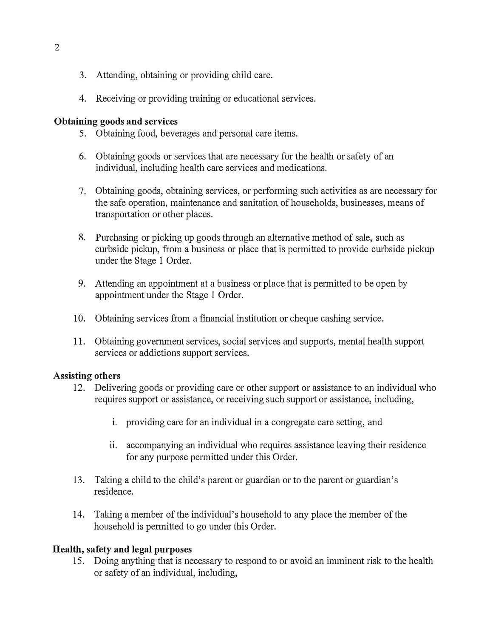- 3. Attending, obtaining or providing child care.
- 4. Receiving or providing training or educational services.

## **Obtaining goods and services**

- 5. Obtaining food, beverages and personal care items.
- 6. Obtaining goods or services that are necessary for the health or safety of an individual, including health care services and medications.
- 7. Obtaining goods, obtaining services, or performing such activities as are necessary for the safe operation, maintenance and sanitation of households, businesses, means of transportation or other places.
- 8. Purchasing or picking up goods through an alternative method of sale, such as curbside pickup, from a business or place that is permitted to provide curbside pickup under the Stage 1 Order.
- 9. Attending an appointment at a business or place that is permitted to be open by appointment under the Stage 1 Order.
- 10. Obtaining services from a financial institution or cheque cashing service.
- 11. Obtaining government services, social services and supports, mental health support services or addictions support services.

## **Assisting others**

- 12. Delivering goods or providing care or other support or assistance to an individual who requires support or assistance, or receiving such support or assistance, including,
	- i. providing care for an individual in a congregate care setting, and
	- ii. accompanying an individual who requires assistance leaving their residence for any purpose permitted under this Order.
- 13. Taking a child to the child's parent or guardian or to the parent or guardian's residence.
- 14. Taking a member of the individual's household to any place the member of the household is permitted to go under this Order.

## **Health, safety and legal purposes**

15. Doing anything that is necessary to respond to or avoid an imminent risk to the health or safety of an individual, including,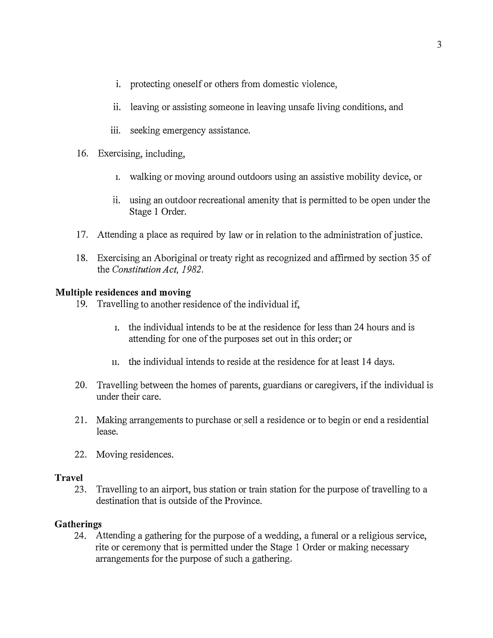- i. protecting oneself or others from domestic violence,
- ii. leaving or assisting someone in leaving unsafe living conditions, and
- iii. seeking emergency assistance.
- 16. Exercising, including,
	- **1.** walking or moving around outdoors using an assistive mobility device, or
	- i i. using an outdoor recreational amenity that is permitted to be open under the Stage 1 Order.
- 17. Attending a place as required by law or in relation to the administration of justice.
- 18. Exercising an Aboriginal or treaty right as recognized and affirmed by section 35 of the *Constitution Act, 1982.*

#### **Multiple residences and moving**

- 19. Travelling to another residence of the individual if,
	- **1.** the individual intends to be at the residence for less than 24 hours and is attending for one of the purposes set out in this order; or
	- **11.** the individual intends to reside at the residence for at least 14 days.
- 20. Travelling between the homes of parents, guardians or caregivers, if the individual is under their care.
- 21. Making arrangements to purchase or sell a residence or to begin or end a residential lease.
- 22. Moving residences.

#### **Travel**

23. Travelling to an airport, bus station or train station for the purpose of travelling to a destination that is outside of the Province.

### **Gatherings**

24. Attending a gathering for the purpose of a wedding, a funeral or a religious service, rite or ceremony that is permitted under the Stage 1 Order or making necessary arrangements for the purpose of such a gathering.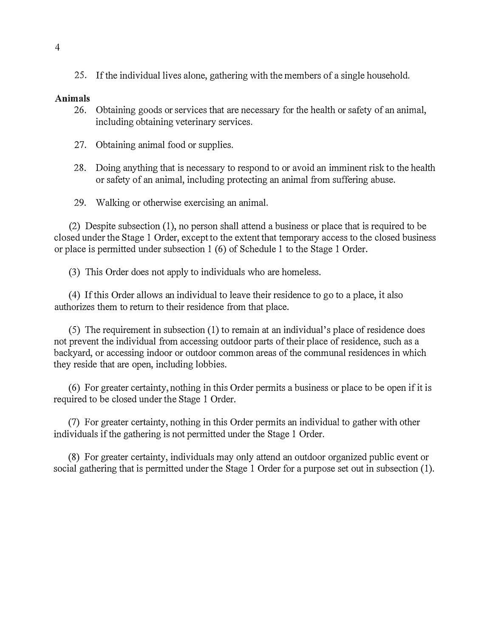25. If the individual lives alone, gathering with the members of a single household.

#### **Animals**

- 26. Obtaining goods or services that are necessary for the health or safety of an animal, including obtaining veterinary services.
- 27. Obtaining animal food or supplies.
- 28. Doing anything that is necessaty to respond to or avoid an imminent risk to the health or safety of an animal, including protecting an animal from suffering abuse.
- 29. Walking or otherwise exercising an animal.

(2) Despite subsection (1), no person shall attend a business or place that is required to be closed under the Stage 1 Order, except to the extent that temporary access to the closed business or place is permitted under subsection 1 (6) of Schedule 1 to the Stage 1 Order.

(3) This Order does not apply to individuals who are homeless.

(4) If this Order allows an individual to leave their residence to go to a place, it also authorizes them to return to their residence from that place.

(5) The requirement in subsection (1) to remain at an individual's place of residence does not prevent the individual from accessing outdoor parts of their place of residence, such as a backyard, or accessing indoor or outdoor common areas of the communal residences in which they reside that are open, including lobbies.

(6) For greater certainty, nothing in this Order permits a business or place to be open if it is required to be closed under the Stage 1 Order.

(7) For greater certainty, nothing in this Order permits an individual to gather with other individuals if the gathering is not permitted under the Stage 1 Order.

(8) For greater certainty, individuals may only attend an outdoor organized public event or social gathering that is permitted under the Stage 1 Order for a purpose set out in subsection (1).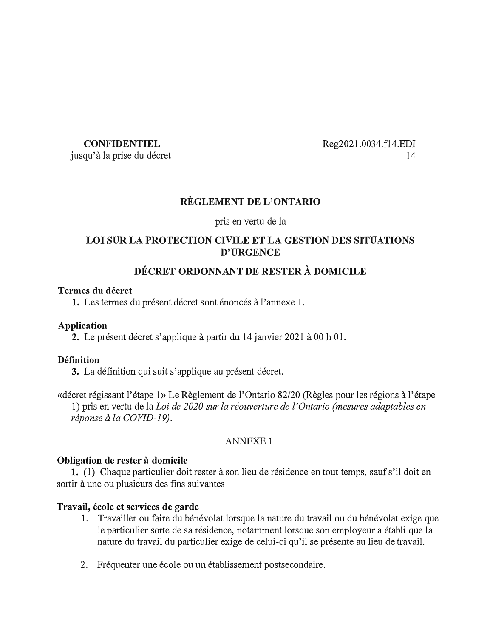### **CONFIDENTIEL**

jusqu'à la prise du décret

Reg2021.0034.fl 4.EDI 14

## **REGLEMENT DE L'ONTARIO**

pris en vertu de la

## **LOI SUR LA PROTECTION CIVILE ET LA GESTION DES SITUATIONS D'URGENCE**

## **DECRET ORDONNANT DE RESTER A DOMICILE**

### **Termes du decret**

1. Les termes du présent décret sont énoncés à l'annexe 1.

### **Application**

**2.** Le present decret s'applique a partir du 14 janvier 2021 a 00 h 01.

### **Definition**

3. La définition qui suit s'applique au présent décret.

«décret régissant l'étape 1» Le Règlement de l'Ontario 82/20 (Règles pour les régions à l'étape 1) pris en vertu de la *Loi de 2020 sur la reouverture de* I *'Ontario (mesures adaptables en reponse* a *la COVID-19).*

## ANNEXE 1

### **Obligation de rester a domicile**

**1.** (1) Chaque particulier doit rester à son lieu de résidence en tout temps, sauf s'il doit en sortir à une ou plusieurs des fins suivantes

## **Travail, ecole et services de garde**

- 1. Travailler ou faire du bénévolat lorsque la nature du travail ou du bénévolat exige que le particulier sorte de sa residence, notamment lorsque son employeur a etabli que la nature du travail du particulier exige de celui-ci qu'il se presente au lieu de travail.
- 2. Fréquenter une école ou un établissement postsecondaire.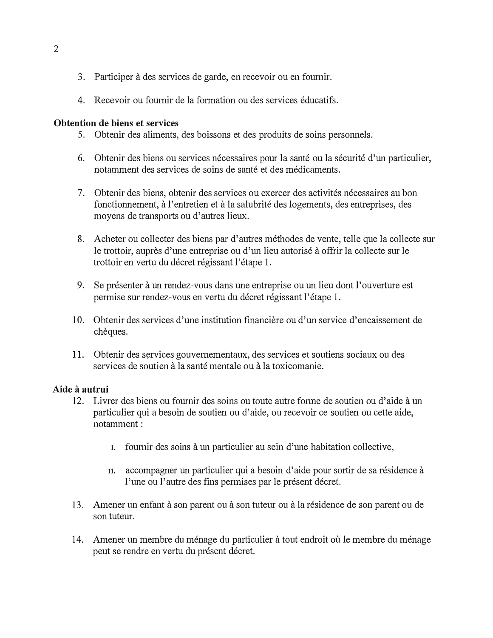- 3. Participer a des services de garde, en recevoir ou en fournir.
- 4. Recevoir ou fournir de la formation ou des services educatifs.

### **Obtention de biens et services**

- 5. Obtenir des aliments, des boissons et des produits de soins personnels.
- 6. Obtenir des biens ou services nécessaires pour la santé ou la sécurité d'un particulier, notamment des services de soins de sante et des medicaments.
- 7. Obtenir des biens, obtenir des services ou exercer des activites necessaires au bon fonctionnement, à l'entretien et à la salubrité des logements, des entreprises, des moyens de transports ou d'autres lieux.
- 8. Acheter ou collecter des biens par d'autres méthodes de vente, telle que la collecte sur le trottoir, auprès d'une entreprise ou d'un lieu autorisé à offrir la collecte sur le trottoir en vertu du décret régissant l'étape 1.
- 9. Se presenter a un rendez-vous dans une entreprise ou un lieu dont l'ouverture est permise sur rendez-vous en vertu du decret regissant l'etape 1.
- 10. Obtenir des services d'une institution financiere ou d'un service d'encaissement de chèques.
- 11. Obtenir des services gouvernementaux, des services et soutiens sociaux ou des services de soutien à la santé mentale ou à la toxicomanie.

## **Aide a autrui**

- 12. Livrer des biens ou fournir des soins ou toute autre forme de soutien ou d'aide à un particulier qui a besoin de soutien ou d'aide, ou recevoir ce soutien ou cette aide, notamment:
	- 1. fournir des soins à un particulier au sein d'une habitation collective,
	- **11.** accompagner un particulier qui a besoin d'aide pour sortir de sa residence a l'une ou l'autre des fins permises par le présent décret.
- 13. Amener un enfant à son parent ou à son tuteur ou à la résidence de son parent ou de son tuteur.
- 14. Amener un membre du ménage du particulier à tout endroit où le membre du ménage peut se rendre en vertu du présent décret.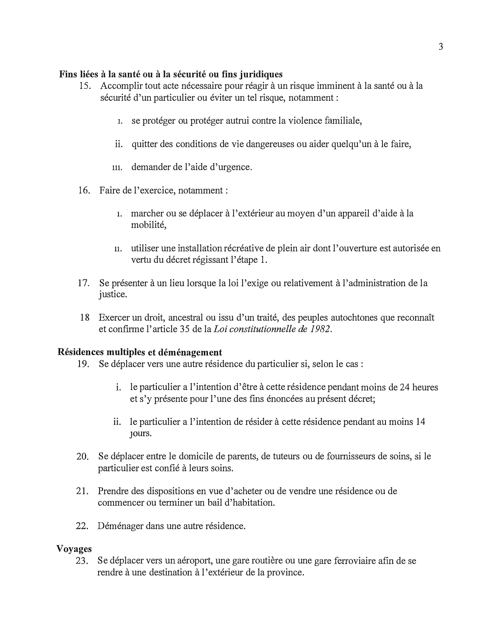## **Fins liees a la sante OU a la securite OU fins juridiques**

- 15. Accomplir tout acte necessaire pour reagir a un risque imminent a la sante ou a la sécurité d'un particulier ou éviter un tel risque, notamment :
	- 1. se protéger ou protéger autrui contre la violence familiale,
	- ii. quitter des conditions de vie dangereuses ou aider quelqu'un a le faire,
	- **111.** demander de l'aide d'urgence.
- 16. Faire de l'exercice, notamment:
	- **1. ·** marcher ou se deplacer a l'exterieur au moyen d'un appareil d'aide a la mobilité.
	- **11.** utiliser une installation recreative de plein air dont l'ouverture est autorisee en vertu du décret régissant l'étape 1.
- 17. Se présenter à un lieu lorsque la loi l'exige ou relativement à l'administration de la justice.
- 18 Exercer un droit, ancestral ou issu d'un traite, des peuples autochtones que reconnait et confirme l'article 35 de la *Loi constitutionnelle de 1982*.

## **Residences multiples et demenagement**

- 19. Se déplacer vers une autre résidence du particulier si, selon le cas :
	- i. le particulier a l'intention d'être à cette résidence pendant moins de 24 heures et s'y présente pour l'une des fins énoncées au présent décret;
	- ii. le particulier a l'intention de résider à cette résidence pendant au moins 14 **JOUl'S.**
- 20. Se deplacer entre le domicile de parents, de tuteurs ou de fournisseurs de soins, *si* le particulier est confie a leurs soins.
- 21. Prendre des dispositions en vue d' acheter ou de vendre une residence ou de commencer ou terminer un bail d'habitation.
- 22. Déménager dans une autre résidence.

### **Voyages**

23. Se déplacer vers un aéroport, une gare routière ou une gare ferroviaire afin de se rendre à une destination à l'extérieur de la province.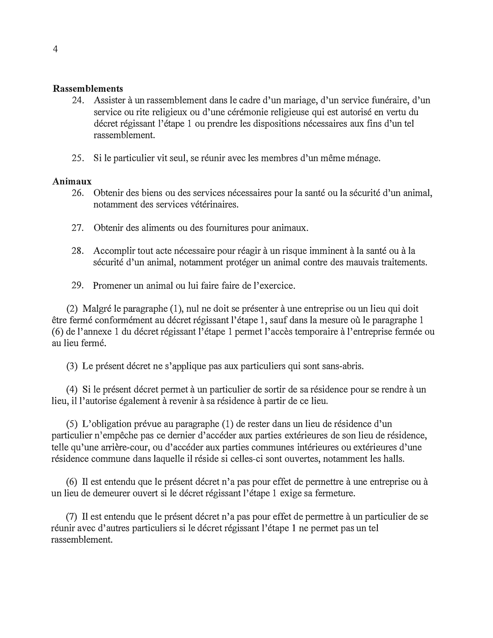#### **Rassemblements**

- 24. Assister à un rassemblement dans le cadre d'un mariage, d'un service funéraire, d'un service ou rite religieux ou d'une cérémonie religieuse qui est autorisé en vertu du décret régissant l'étape 1 ou prendre les dispositions nécessaires aux fins d'un tel rassemblement.
- 25. Si le particulier vit seul, se réunir avec les membres d'un même ménage.

### **Animaux**

- 26. Obtenir des biens ou des services nécessaires pour la santé ou la sécurité d'un animal, notamment des services vétérinaires.
- 27. Obtenir des aliments ou des fournitures pour animaux.
- 28. Accomplir tout acte nécessaire pour réagir à un risque imminent à la santé ou à la sécurité d'un animal, notamment protéger un animal contre des mauvais traitements.
- 29. Promener un animal ou lui faire faire de l'exercice.

(2) Malgre le paragraphe (1), nul ne doit se presenter a une entreprise ou un lieu qui doit être fermé conformément au décret régissant l'étape 1, sauf dans la mesure où le paragraphe 1 (6) de l'annexe 1 du décret régissant l'étape 1 permet l'accès temporaire à l'entreprise fermée ou au lieu ferme.

(3) Le present decret ne s'applique pas aux particuliers qui sont sans-abris.

(4) Si le présent décret permet à un particulier de sortir de sa résidence pour se rendre à un lieu, il l'autorise également à revenir à sa résidence à partir de ce lieu.

 $(5)$  L'obligation prévue au paragraphe  $(1)$  de rester dans un lieu de résidence d'un particulier n'empêche pas ce dernier d'accéder aux parties extérieures de son lieu de résidence, telle qu'une arrière-cour, ou d'accéder aux parties communes intérieures ou extérieures d'une résidence commune dans laquelle il réside si celles-ci sont ouvertes, notamment les halls.

 $(6)$  Il est entendu que le présent décret n'a pas pour effet de permettre à une entreprise ou à un lieu de demeurer ouvert si le décret régissant l'étape 1 exige sa fermeture.

(7) 11 est entendu que le present decret n'a pas pour effet de permettre a un particulier de se réunir avec d'autres particuliers si le décret régissant l'étape 1 ne permet pas un tel rassemblement.